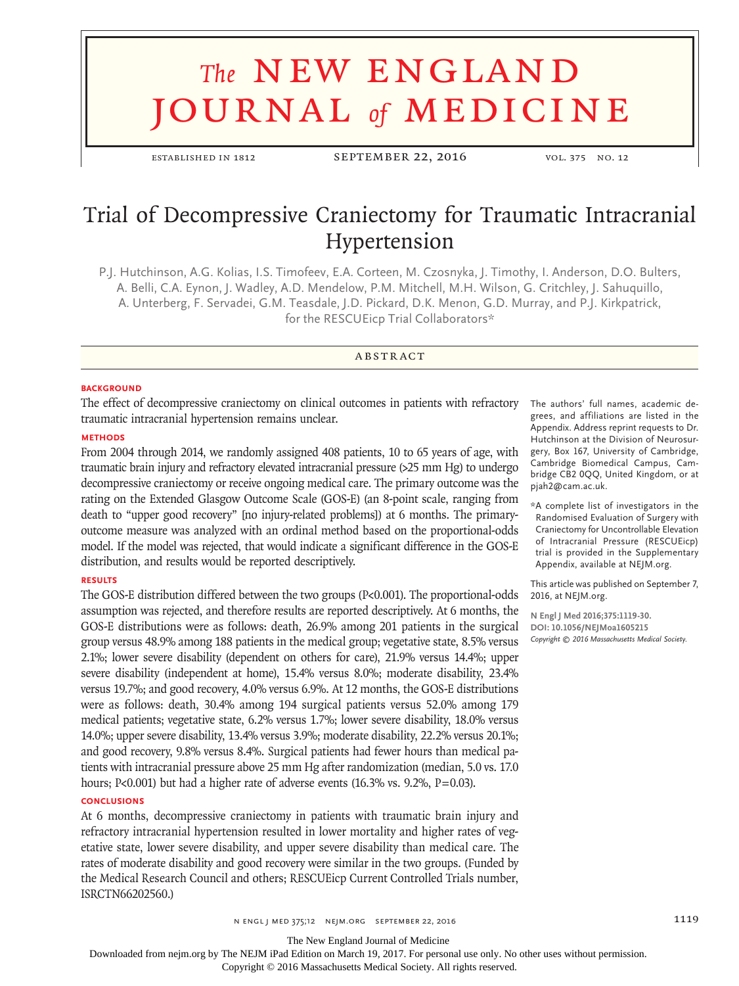# **The NEW ENGLAND** journal *of* medicine

established in 1812 September 22, 2016 vol. 375 no. 12

# Trial of Decompressive Craniectomy for Traumatic Intracranial Hypertension

P.J. Hutchinson, A.G. Kolias, I.S. Timofeev, E.A. Corteen, M. Czosnyka, J. Timothy, I. Anderson, D.O. Bulters, A. Belli, C.A. Eynon, J. Wadley, A.D. Mendelow, P.M. Mitchell, M.H. Wilson, G. Critchley, J. Sahuquillo, A. Unterberg, F. Servadei, G.M. Teasdale, J.D. Pickard, D.K. Menon, G.D. Murray, and P.J. Kirkpatrick, for the RESCUEicp Trial Collaborators\*

# **ABSTRACT**

#### **BACKGROUND**

The effect of decompressive craniectomy on clinical outcomes in patients with refractory traumatic intracranial hypertension remains unclear.

#### **METHODS**

From 2004 through 2014, we randomly assigned 408 patients, 10 to 65 years of age, with traumatic brain injury and refractory elevated intracranial pressure (>25 mm Hg) to undergo decompressive craniectomy or receive ongoing medical care. The primary outcome was the rating on the Extended Glasgow Outcome Scale (GOS-E) (an 8-point scale, ranging from death to "upper good recovery" [no injury-related problems]) at 6 months. The primaryoutcome measure was analyzed with an ordinal method based on the proportional-odds model. If the model was rejected, that would indicate a significant difference in the GOS-E distribution, and results would be reported descriptively.

#### **RESULTS**

The GOS-E distribution differed between the two groups (P<0.001). The proportional-odds assumption was rejected, and therefore results are reported descriptively. At 6 months, the GOS-E distributions were as follows: death, 26.9% among 201 patients in the surgical group versus 48.9% among 188 patients in the medical group; vegetative state, 8.5% versus 2.1%; lower severe disability (dependent on others for care), 21.9% versus 14.4%; upper severe disability (independent at home), 15.4% versus 8.0%; moderate disability, 23.4% versus 19.7%; and good recovery, 4.0% versus 6.9%. At 12 months, the GOS-E distributions were as follows: death, 30.4% among 194 surgical patients versus 52.0% among 179 medical patients; vegetative state, 6.2% versus 1.7%; lower severe disability, 18.0% versus 14.0%; upper severe disability, 13.4% versus 3.9%; moderate disability, 22.2% versus 20.1%; and good recovery, 9.8% versus 8.4%. Surgical patients had fewer hours than medical patients with intracranial pressure above 25 mm Hg after randomization (median, 5.0 vs. 17.0 hours; P<0.001) but had a higher rate of adverse events (16.3% vs. 9.2%, P=0.03).

# **CONCLUSIONS**

At 6 months, decompressive craniectomy in patients with traumatic brain injury and refractory intracranial hypertension resulted in lower mortality and higher rates of vegetative state, lower severe disability, and upper severe disability than medical care. The rates of moderate disability and good recovery were similar in the two groups. (Funded by the Medical Research Council and others; RESCUEicp Current Controlled Trials number, ISRCTN66202560.)

The authors' full names, academic degrees, and affiliations are listed in the Appendix. Address reprint requests to Dr. Hutchinson at the Division of Neurosurgery, Box 167, University of Cambridge, Cambridge Biomedical Campus, Cambridge CB2 0QQ, United Kingdom, or at pjah2@cam.ac.uk.

\*A complete list of investigators in the Randomised Evaluation of Surgery with Craniectomy for Uncontrollable Elevation of Intracranial Pressure (RESCUEicp) trial is provided in the Supplementary Appendix, available at NEJM.org.

This article was published on September 7, 2016, at NEJM.org.

**N Engl J Med 2016;375:1119-30. DOI: 10.1056/NEJMoa1605215** *Copyright © 2016 Massachusetts Medical Society.*

The New England Journal of Medicine

Downloaded from nejm.org by The NEJM iPad Edition on March 19, 2017. For personal use only. No other uses without permission.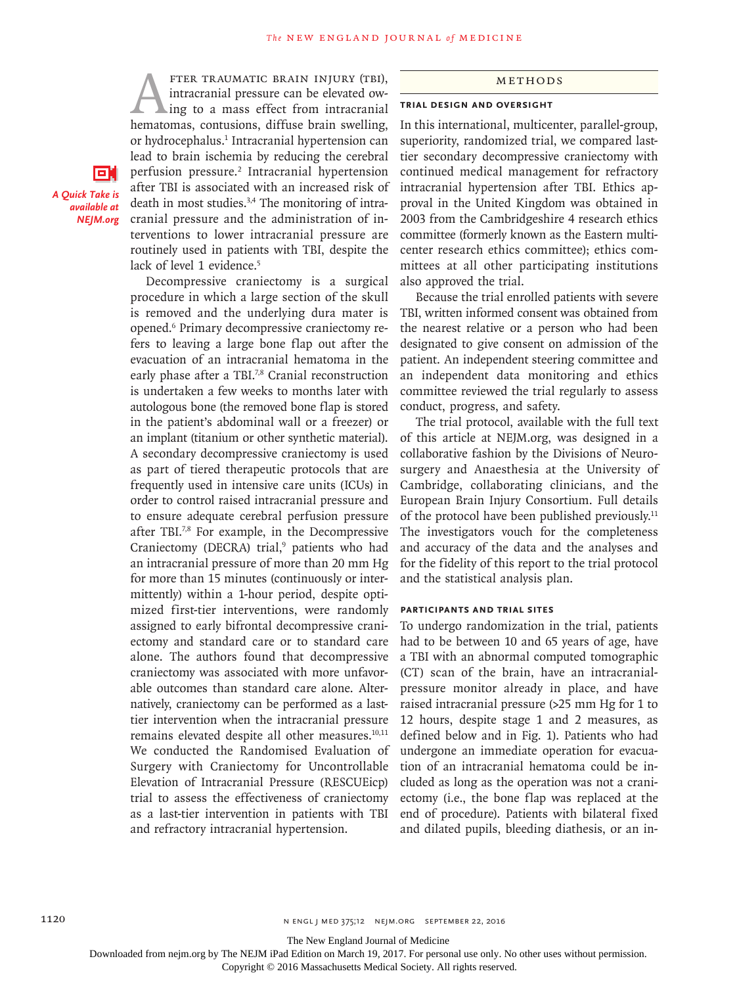FTER TRAUMATIC BRAIN INJURY (TBI),<br>intracranial pressure can be elevated ow-<br>ing to a mass effect from intracranial<br>hematomas, contusions, diffuse brain swelling. intracranial pressure can be elevated owing to a mass effect from intracranial hematomas, contusions, diffuse brain swelling, or hydrocephalus.<sup>1</sup> Intracranial hypertension can lead to brain ischemia by reducing the cerebral perfusion pressure.2 Intracranial hypertension after TBI is associated with an increased risk of death in most studies.<sup>3,4</sup> The monitoring of intracranial pressure and the administration of interventions to lower intracranial pressure are routinely used in patients with TBI, despite the lack of level 1 evidence.<sup>5</sup>

Decompressive craniectomy is a surgical procedure in which a large section of the skull is removed and the underlying dura mater is opened.6 Primary decompressive craniectomy refers to leaving a large bone flap out after the evacuation of an intracranial hematoma in the early phase after a TBI.<sup>7,8</sup> Cranial reconstruction is undertaken a few weeks to months later with autologous bone (the removed bone flap is stored in the patient's abdominal wall or a freezer) or an implant (titanium or other synthetic material). A secondary decompressive craniectomy is used as part of tiered therapeutic protocols that are frequently used in intensive care units (ICUs) in order to control raised intracranial pressure and to ensure adequate cerebral perfusion pressure after TBI.7,8 For example, in the Decompressive Craniectomy (DECRA) trial,<sup>9</sup> patients who had an intracranial pressure of more than 20 mm Hg for more than 15 minutes (continuously or intermittently) within a 1-hour period, despite optimized first-tier interventions, were randomly assigned to early bifrontal decompressive craniectomy and standard care or to standard care alone. The authors found that decompressive craniectomy was associated with more unfavorable outcomes than standard care alone. Alternatively, craniectomy can be performed as a lasttier intervention when the intracranial pressure remains elevated despite all other measures. $10,11$ We conducted the Randomised Evaluation of Surgery with Craniectomy for Uncontrollable Elevation of Intracranial Pressure (RESCUEicp) trial to assess the effectiveness of craniectomy as a last-tier intervention in patients with TBI and refractory intracranial hypertension.

#### Methods

#### **Trial Design and Oversight**

In this international, multicenter, parallel-group, superiority, randomized trial, we compared lasttier secondary decompressive craniectomy with continued medical management for refractory intracranial hypertension after TBI. Ethics approval in the United Kingdom was obtained in 2003 from the Cambridgeshire 4 research ethics committee (formerly known as the Eastern multicenter research ethics committee); ethics committees at all other participating institutions also approved the trial.

Because the trial enrolled patients with severe TBI, written informed consent was obtained from the nearest relative or a person who had been designated to give consent on admission of the patient. An independent steering committee and an independent data monitoring and ethics committee reviewed the trial regularly to assess conduct, progress, and safety.

The trial protocol, available with the full text of this article at NEJM.org, was designed in a collaborative fashion by the Divisions of Neurosurgery and Anaesthesia at the University of Cambridge, collaborating clinicians, and the European Brain Injury Consortium. Full details of the protocol have been published previously.11 The investigators vouch for the completeness and accuracy of the data and the analyses and for the fidelity of this report to the trial protocol and the statistical analysis plan.

#### **Participants and Trial Sites**

To undergo randomization in the trial, patients had to be between 10 and 65 years of age, have a TBI with an abnormal computed tomographic (CT) scan of the brain, have an intracranialpressure monitor already in place, and have raised intracranial pressure (>25 mm Hg for 1 to 12 hours, despite stage 1 and 2 measures, as defined below and in Fig. 1). Patients who had undergone an immediate operation for evacuation of an intracranial hematoma could be included as long as the operation was not a craniectomy (i.e., the bone flap was replaced at the end of procedure). Patients with bilateral fixed and dilated pupils, bleeding diathesis, or an in-

The New England Journal of Medicine

Downloaded from nejm.org by The NEJM iPad Edition on March 19, 2017. For personal use only. No other uses without permission.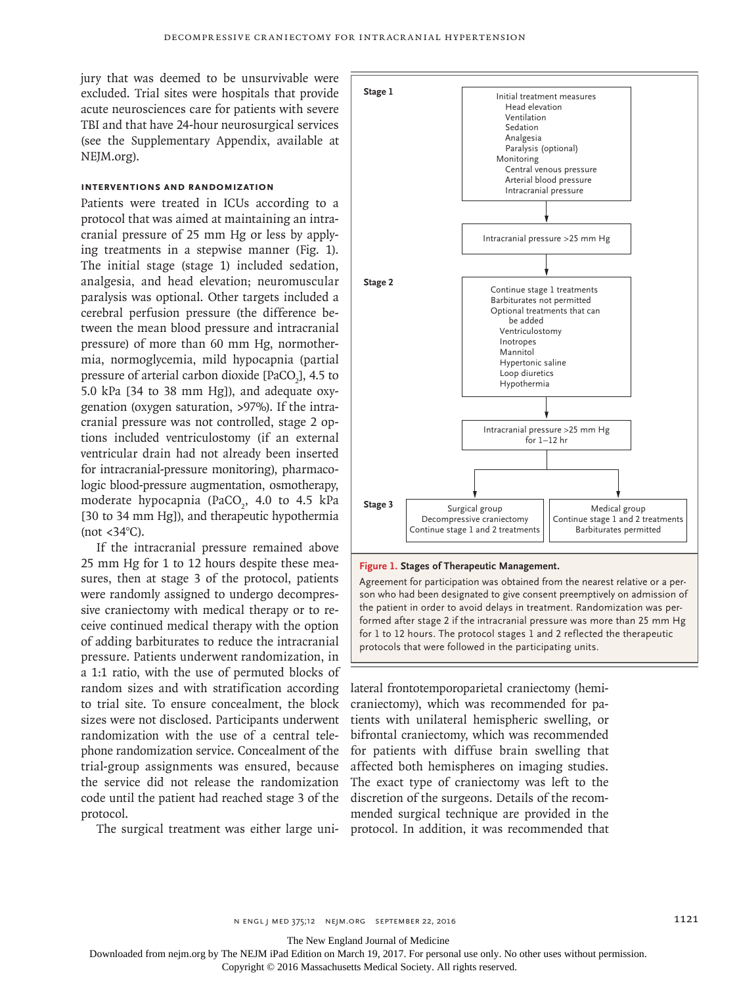jury that was deemed to be unsurvivable were excluded. Trial sites were hospitals that provide acute neurosciences care for patients with severe TBI and that have 24-hour neurosurgical services (see the Supplementary Appendix, available at NEJM.org).

## **Interventions and Randomization**

Patients were treated in ICUs according to a protocol that was aimed at maintaining an intracranial pressure of 25 mm Hg or less by applying treatments in a stepwise manner (Fig. 1). The initial stage (stage 1) included sedation, analgesia, and head elevation; neuromuscular paralysis was optional. Other targets included a cerebral perfusion pressure (the difference between the mean blood pressure and intracranial pressure) of more than 60 mm Hg, normothermia, normoglycemia, mild hypocapnia (partial pressure of arterial carbon dioxide [PaCO<sub>2</sub>], 4.5 to 5.0 kPa [34 to 38 mm Hg]), and adequate oxygenation (oxygen saturation, >97%). If the intracranial pressure was not controlled, stage 2 options included ventriculostomy (if an external ventricular drain had not already been inserted for intracranial-pressure monitoring), pharmacologic blood-pressure augmentation, osmotherapy, moderate hypocapnia (PaCO<sub>2</sub>, 4.0 to 4.5 kPa [30 to 34 mm Hg]), and therapeutic hypothermia (not  $<34^{\circ}$ C).

If the intracranial pressure remained above 25 mm Hg for 1 to 12 hours despite these measures, then at stage 3 of the protocol, patients were randomly assigned to undergo decompressive craniectomy with medical therapy or to receive continued medical therapy with the option of adding barbiturates to reduce the intracranial pressure. Patients underwent randomization, in a 1:1 ratio, with the use of permuted blocks of random sizes and with stratification according to trial site. To ensure concealment, the block sizes were not disclosed. Participants underwent randomization with the use of a central telephone randomization service. Concealment of the trial-group assignments was ensured, because the service did not release the randomization code until the patient had reached stage 3 of the protocol.



#### **Figure 1. Stages of Therapeutic Management.**

Agreement for participation was obtained from the nearest relative or a person who had been designated to give consent preemptively on admission of the patient in order to avoid delays in treatment. Randomization was performed after stage 2 if the intracranial pressure was more than 25 mm Hg for 1 to 12 hours. The protocol stages 1 and 2 reflected the therapeutic protocols that were followed in the participating units.

The surgical treatment was either large uni-protocol. In addition, it was recommended that lateral frontotemporoparietal craniectomy (hemicraniectomy), which was recommended for patients with unilateral hemispheric swelling, or bifrontal craniectomy, which was recommended for patients with diffuse brain swelling that affected both hemispheres on imaging studies. The exact type of craniectomy was left to the discretion of the surgeons. Details of the recommended surgical technique are provided in the

The New England Journal of Medicine

Downloaded from nejm.org by The NEJM iPad Edition on March 19, 2017. For personal use only. No other uses without permission.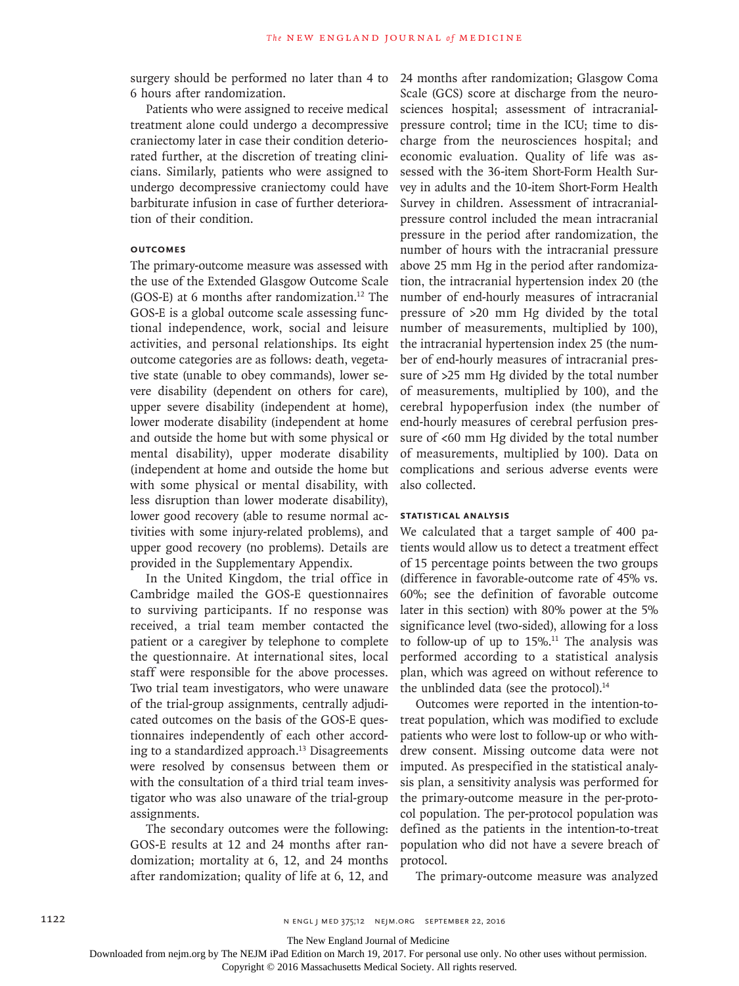surgery should be performed no later than 4 to 6 hours after randomization.

Patients who were assigned to receive medical treatment alone could undergo a decompressive craniectomy later in case their condition deteriorated further, at the discretion of treating clinicians. Similarly, patients who were assigned to undergo decompressive craniectomy could have barbiturate infusion in case of further deterioration of their condition.

# **Outcomes**

The primary-outcome measure was assessed with the use of the Extended Glasgow Outcome Scale (GOS-E) at 6 months after randomization.12 The GOS-E is a global outcome scale assessing functional independence, work, social and leisure activities, and personal relationships. Its eight outcome categories are as follows: death, vegetative state (unable to obey commands), lower severe disability (dependent on others for care), upper severe disability (independent at home), lower moderate disability (independent at home and outside the home but with some physical or mental disability), upper moderate disability (independent at home and outside the home but with some physical or mental disability, with less disruption than lower moderate disability), lower good recovery (able to resume normal activities with some injury-related problems), and upper good recovery (no problems). Details are provided in the Supplementary Appendix.

In the United Kingdom, the trial office in Cambridge mailed the GOS-E questionnaires to surviving participants. If no response was received, a trial team member contacted the patient or a caregiver by telephone to complete the questionnaire. At international sites, local staff were responsible for the above processes. Two trial team investigators, who were unaware of the trial-group assignments, centrally adjudicated outcomes on the basis of the GOS-E questionnaires independently of each other according to a standardized approach.13 Disagreements were resolved by consensus between them or with the consultation of a third trial team investigator who was also unaware of the trial-group assignments.

The secondary outcomes were the following: GOS-E results at 12 and 24 months after randomization; mortality at 6, 12, and 24 months after randomization; quality of life at 6, 12, and

24 months after randomization; Glasgow Coma Scale (GCS) score at discharge from the neurosciences hospital; assessment of intracranialpressure control; time in the ICU; time to discharge from the neurosciences hospital; and economic evaluation. Quality of life was assessed with the 36-item Short-Form Health Survey in adults and the 10-item Short-Form Health Survey in children. Assessment of intracranialpressure control included the mean intracranial pressure in the period after randomization, the number of hours with the intracranial pressure above 25 mm Hg in the period after randomization, the intracranial hypertension index 20 (the number of end-hourly measures of intracranial pressure of >20 mm Hg divided by the total number of measurements, multiplied by 100), the intracranial hypertension index 25 (the number of end-hourly measures of intracranial pressure of >25 mm Hg divided by the total number of measurements, multiplied by 100), and the cerebral hypoperfusion index (the number of end-hourly measures of cerebral perfusion pressure of <60 mm Hg divided by the total number of measurements, multiplied by 100). Data on complications and serious adverse events were also collected.

#### **Statistical Analysis**

We calculated that a target sample of 400 patients would allow us to detect a treatment effect of 15 percentage points between the two groups (difference in favorable-outcome rate of 45% vs. 60%; see the definition of favorable outcome later in this section) with 80% power at the 5% significance level (two-sided), allowing for a loss to follow-up of up to  $15\%$ .<sup>11</sup> The analysis was performed according to a statistical analysis plan, which was agreed on without reference to the unblinded data (see the protocol).<sup>14</sup>

Outcomes were reported in the intention-totreat population, which was modified to exclude patients who were lost to follow-up or who withdrew consent. Missing outcome data were not imputed. As prespecified in the statistical analysis plan, a sensitivity analysis was performed for the primary-outcome measure in the per-protocol population. The per-protocol population was defined as the patients in the intention-to-treat population who did not have a severe breach of protocol.

The primary-outcome measure was analyzed

The New England Journal of Medicine

Downloaded from nejm.org by The NEJM iPad Edition on March 19, 2017. For personal use only. No other uses without permission.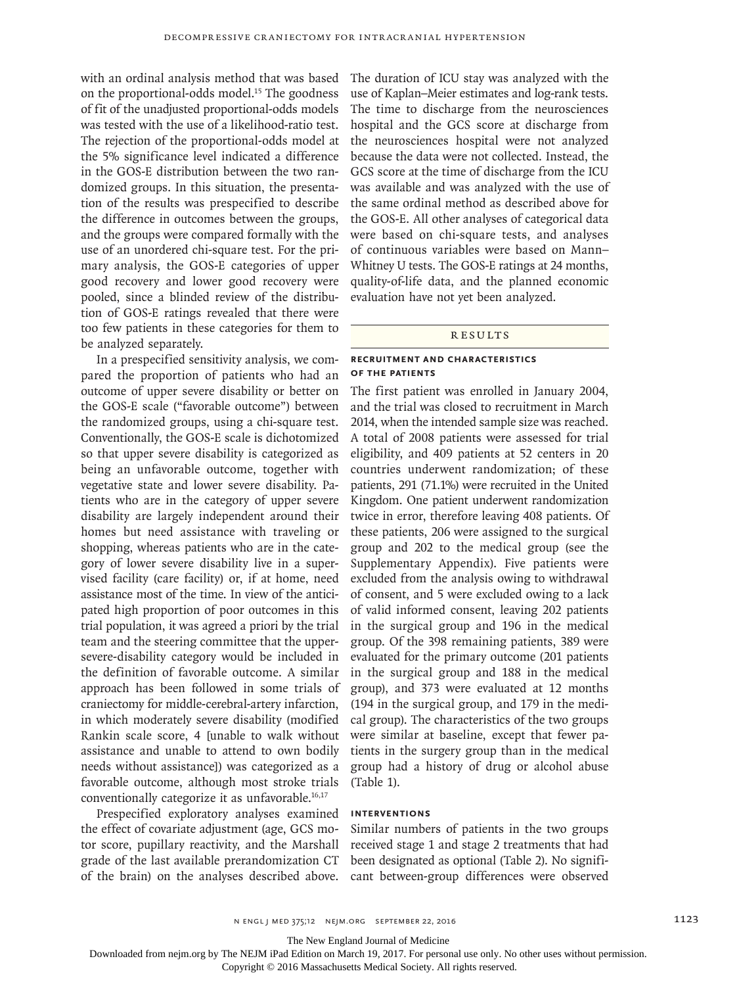with an ordinal analysis method that was based on the proportional-odds model.15 The goodness of fit of the unadjusted proportional-odds models was tested with the use of a likelihood-ratio test. The rejection of the proportional-odds model at the 5% significance level indicated a difference in the GOS-E distribution between the two randomized groups. In this situation, the presentation of the results was prespecified to describe the difference in outcomes between the groups, and the groups were compared formally with the use of an unordered chi-square test. For the primary analysis, the GOS-E categories of upper good recovery and lower good recovery were pooled, since a blinded review of the distribution of GOS-E ratings revealed that there were too few patients in these categories for them to be analyzed separately.

In a prespecified sensitivity analysis, we compared the proportion of patients who had an outcome of upper severe disability or better on the GOS-E scale ("favorable outcome") between the randomized groups, using a chi-square test. Conventionally, the GOS-E scale is dichotomized so that upper severe disability is categorized as being an unfavorable outcome, together with vegetative state and lower severe disability. Patients who are in the category of upper severe disability are largely independent around their homes but need assistance with traveling or shopping, whereas patients who are in the category of lower severe disability live in a supervised facility (care facility) or, if at home, need assistance most of the time. In view of the anticipated high proportion of poor outcomes in this trial population, it was agreed a priori by the trial team and the steering committee that the uppersevere-disability category would be included in the definition of favorable outcome. A similar approach has been followed in some trials of craniectomy for middle-cerebral-artery infarction, in which moderately severe disability (modified Rankin scale score, 4 [unable to walk without assistance and unable to attend to own bodily needs without assistance]) was categorized as a favorable outcome, although most stroke trials conventionally categorize it as unfavorable.<sup>16,17</sup>

Prespecified exploratory analyses examined the effect of covariate adjustment (age, GCS motor score, pupillary reactivity, and the Marshall grade of the last available prerandomization CT of the brain) on the analyses described above. The duration of ICU stay was analyzed with the use of Kaplan–Meier estimates and log-rank tests. The time to discharge from the neurosciences hospital and the GCS score at discharge from the neurosciences hospital were not analyzed because the data were not collected. Instead, the GCS score at the time of discharge from the ICU was available and was analyzed with the use of the same ordinal method as described above for the GOS-E. All other analyses of categorical data were based on chi-square tests, and analyses of continuous variables were based on Mann– Whitney U tests. The GOS-E ratings at 24 months, quality-of-life data, and the planned economic evaluation have not yet been analyzed.

#### **RESULTS**

# **Recruitment and Characteristics of the Patients**

The first patient was enrolled in January 2004, and the trial was closed to recruitment in March 2014, when the intended sample size was reached. A total of 2008 patients were assessed for trial eligibility, and 409 patients at 52 centers in 20 countries underwent randomization; of these patients, 291 (71.1%) were recruited in the United Kingdom. One patient underwent randomization twice in error, therefore leaving 408 patients. Of these patients, 206 were assigned to the surgical group and 202 to the medical group (see the Supplementary Appendix). Five patients were excluded from the analysis owing to withdrawal of consent, and 5 were excluded owing to a lack of valid informed consent, leaving 202 patients in the surgical group and 196 in the medical group. Of the 398 remaining patients, 389 were evaluated for the primary outcome (201 patients in the surgical group and 188 in the medical group), and 373 were evaluated at 12 months (194 in the surgical group, and 179 in the medical group). The characteristics of the two groups were similar at baseline, except that fewer patients in the surgery group than in the medical group had a history of drug or alcohol abuse (Table 1).

# **Interventions**

Similar numbers of patients in the two groups received stage 1 and stage 2 treatments that had been designated as optional (Table 2). No significant between-group differences were observed

The New England Journal of Medicine

Downloaded from nejm.org by The NEJM iPad Edition on March 19, 2017. For personal use only. No other uses without permission.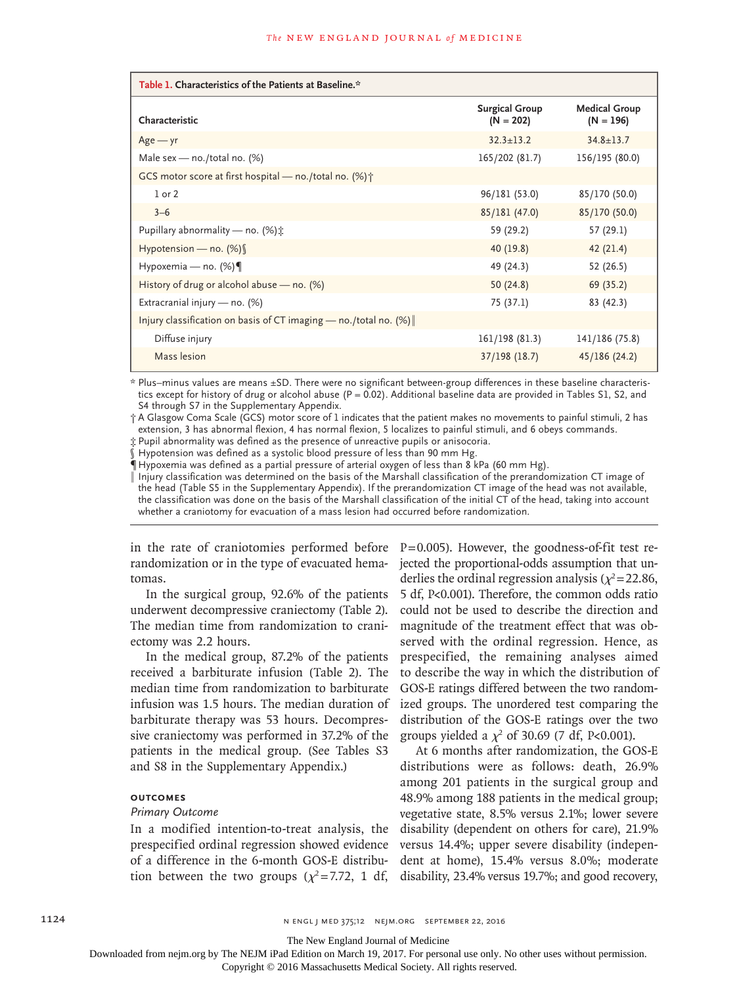| Table 1. Characteristics of the Patients at Baseline.*              |                                      |                                     |  |  |  |  |
|---------------------------------------------------------------------|--------------------------------------|-------------------------------------|--|--|--|--|
| Characteristic                                                      | <b>Surgical Group</b><br>$(N = 202)$ | <b>Medical Group</b><br>$(N = 196)$ |  |  |  |  |
| $Age - yr$                                                          | $32.3 + 13.2$                        | $34.8 + 13.7$                       |  |  |  |  |
| Male sex $-$ no./total no. (%)                                      | 165/202 (81.7)                       | 156/195 (80.0)                      |  |  |  |  |
| GCS motor score at first hospital — no./total no. $(\%)\uparrow$    |                                      |                                     |  |  |  |  |
| $1$ or $2$                                                          | 96/181 (53.0)                        | 85/170 (50.0)                       |  |  |  |  |
| $3 - 6$                                                             | 85/181 (47.0)                        | 85/170 (50.0)                       |  |  |  |  |
| Pupillary abnormality — no. $(\%)$ :                                | 59 (29.2)                            | 57 (29.1)                           |  |  |  |  |
| Hypotension — no. $(\%)$                                            | 40 (19.8)                            | 42(21.4)                            |  |  |  |  |
| Hypoxemia — no. $(\%) \P$                                           | 49 (24.3)                            | 52 (26.5)                           |  |  |  |  |
| History of drug or alcohol abuse - no. (%)                          | 50(24.8)                             | 69 (35.2)                           |  |  |  |  |
| Extracranial injury — no. $(\%)$                                    | 75 (37.1)                            | 83 (42.3)                           |  |  |  |  |
| Injury classification on basis of CT imaging — no./total no. $(\%)$ |                                      |                                     |  |  |  |  |
| Diffuse injury                                                      | 161/198 (81.3)                       | 141/186 (75.8)                      |  |  |  |  |
| Mass lesion                                                         | $37/198$ (18.7)                      | 45/186 (24.2)                       |  |  |  |  |

\* Plus–minus values are means ±SD. There were no significant between-group differences in these baseline characteristics except for history of drug or alcohol abuse ( $P = 0.02$ ). Additional baseline data are provided in Tables S1, S2, and S4 through S7 in the Supplementary Appendix.

† A Glasgow Coma Scale (GCS) motor score of 1 indicates that the patient makes no movements to painful stimuli, 2 has extension, 3 has abnormal flexion, 4 has normal flexion, 5 localizes to painful stimuli, and 6 obeys commands.

‡ Pupil abnormality was defined as the presence of unreactive pupils or anisocoria.

§ Hypotension was defined as a systolic blood pressure of less than 90 mm Hg.

 $\P$  Hypoxemia was defined as a partial pressure of arterial oxygen of less than 8 kPa (60 mm Hg).

‖ Injury classification was determined on the basis of the Marshall classification of the prerandomization CT image of the head (Table S5 in the Supplementary Appendix). If the prerandomization CT image of the head was not available, the classification was done on the basis of the Marshall classification of the initial CT of the head, taking into account whether a craniotomy for evacuation of a mass lesion had occurred before randomization.

in the rate of craniotomies performed before randomization or in the type of evacuated hematomas.

In the surgical group, 92.6% of the patients underwent decompressive craniectomy (Table 2). The median time from randomization to craniectomy was 2.2 hours.

In the medical group, 87.2% of the patients received a barbiturate infusion (Table 2). The median time from randomization to barbiturate infusion was 1.5 hours. The median duration of barbiturate therapy was 53 hours. Decompressive craniectomy was performed in 37.2% of the patients in the medical group. (See Tables S3 and S8 in the Supplementary Appendix.)

# **Outcomes**

# *Primary Outcome*

In a modified intention-to-treat analysis, the prespecified ordinal regression showed evidence of a difference in the 6-month GOS-E distribution between the two groups ( $\chi^2$ =7.72, 1 df, P=0.005). However, the goodness-of-fit test rejected the proportional-odds assumption that underlies the ordinal regression analysis ( $\chi^2$ =22.86, 5 df, P<0.001). Therefore, the common odds ratio could not be used to describe the direction and magnitude of the treatment effect that was observed with the ordinal regression. Hence, as prespecified, the remaining analyses aimed to describe the way in which the distribution of GOS-E ratings differed between the two randomized groups. The unordered test comparing the distribution of the GOS-E ratings over the two groups yielded a  $\chi^2$  of 30.69 (7 df, P<0.001).

At 6 months after randomization, the GOS-E distributions were as follows: death, 26.9% among 201 patients in the surgical group and 48.9% among 188 patients in the medical group; vegetative state, 8.5% versus 2.1%; lower severe disability (dependent on others for care), 21.9% versus 14.4%; upper severe disability (independent at home), 15.4% versus 8.0%; moderate disability, 23.4% versus 19.7%; and good recovery,

The New England Journal of Medicine

Downloaded from nejm.org by The NEJM iPad Edition on March 19, 2017. For personal use only. No other uses without permission.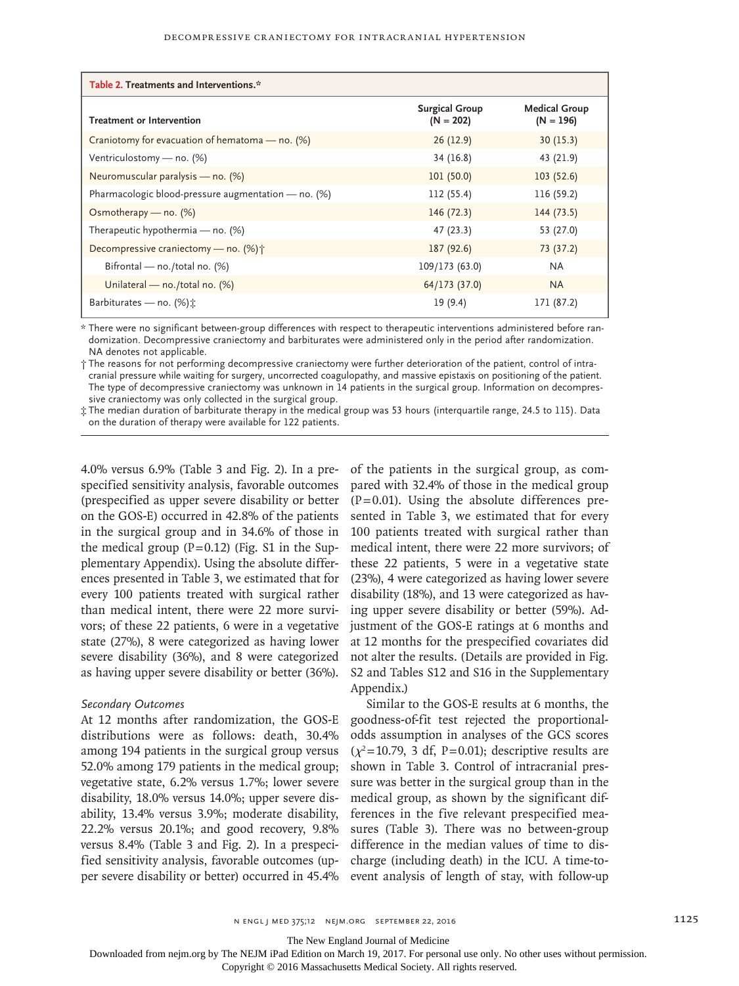| Table 2. Treatments and Interventions.*             |                                      |                                     |  |  |  |
|-----------------------------------------------------|--------------------------------------|-------------------------------------|--|--|--|
| <b>Treatment or Intervention</b>                    | <b>Surgical Group</b><br>$(N = 202)$ | <b>Medical Group</b><br>$(N = 196)$ |  |  |  |
| Craniotomy for evacuation of hematoma — no. (%)     | 26(12.9)                             | 30(15.3)                            |  |  |  |
| Ventriculostomy - no. (%)                           | 34 (16.8)                            | 43 (21.9)                           |  |  |  |
| Neuromuscular paralysis - no. (%)                   | 101(50.0)                            | 103(52.6)                           |  |  |  |
| Pharmacologic blood-pressure augmentation - no. (%) | 112 (55.4)                           | 116 (59.2)                          |  |  |  |
| Osmotherapy — no. $(\%)$                            | 146(72.3)                            | 144(73.5)                           |  |  |  |
| Therapeutic hypothermia — no. $(\%)$                | 47 (23.3)                            | 53 (27.0)                           |  |  |  |
| Decompressive craniectomy — no. (%) +               | 187 (92.6)                           | 73 (37.2)                           |  |  |  |
| Bifrontal — no./total no. $(%)$                     | 109/173 (63.0)                       | <b>NA</b>                           |  |  |  |
| Unilateral — no./total no. (%)                      | 64/173(37.0)                         | <b>NA</b>                           |  |  |  |
| Barbiturates — no. $(\%)$ :                         | 19 (9.4)                             | 171 (87.2)                          |  |  |  |

\* There were no significant between-group differences with respect to therapeutic interventions administered before randomization. Decompressive craniectomy and barbiturates were administered only in the period after randomization. NA denotes not applicable.

† The reasons for not performing decompressive craniectomy were further deterioration of the patient, control of intracranial pressure while waiting for surgery, uncorrected coagulopathy, and massive epistaxis on positioning of the patient. The type of decompressive craniectomy was unknown in 14 patients in the surgical group. Information on decompressive craniectomy was only collected in the surgical group.

‡ The median duration of barbiturate therapy in the medical group was 53 hours (interquartile range, 24.5 to 115). Data on the duration of therapy were available for 122 patients.

4.0% versus 6.9% (Table 3 and Fig. 2). In a prespecified sensitivity analysis, favorable outcomes (prespecified as upper severe disability or better on the GOS-E) occurred in 42.8% of the patients in the surgical group and in 34.6% of those in the medical group  $(P=0.12)$  (Fig. S1 in the Supplementary Appendix). Using the absolute differences presented in Table 3, we estimated that for every 100 patients treated with surgical rather than medical intent, there were 22 more survivors; of these 22 patients, 6 were in a vegetative state (27%), 8 were categorized as having lower severe disability (36%), and 8 were categorized as having upper severe disability or better (36%).

#### *Secondary Outcomes*

At 12 months after randomization, the GOS-E distributions were as follows: death, 30.4% among 194 patients in the surgical group versus 52.0% among 179 patients in the medical group; vegetative state, 6.2% versus 1.7%; lower severe disability, 18.0% versus 14.0%; upper severe disability, 13.4% versus 3.9%; moderate disability, 22.2% versus 20.1%; and good recovery, 9.8% versus 8.4% (Table 3 and Fig. 2). In a prespecified sensitivity analysis, favorable outcomes (upper severe disability or better) occurred in 45.4%

of the patients in the surgical group, as compared with 32.4% of those in the medical group  $(P=0.01)$ . Using the absolute differences presented in Table 3, we estimated that for every 100 patients treated with surgical rather than medical intent, there were 22 more survivors; of these 22 patients, 5 were in a vegetative state (23%), 4 were categorized as having lower severe disability (18%), and 13 were categorized as having upper severe disability or better (59%). Adjustment of the GOS-E ratings at 6 months and at 12 months for the prespecified covariates did not alter the results. (Details are provided in Fig. S2 and Tables S12 and S16 in the Supplementary Appendix.)

Similar to the GOS-E results at 6 months, the goodness-of-fit test rejected the proportionalodds assumption in analyses of the GCS scores  $(\chi^2=10.79, 3 \text{ df}, P=0.01)$ ; descriptive results are shown in Table 3. Control of intracranial pressure was better in the surgical group than in the medical group, as shown by the significant differences in the five relevant prespecified measures (Table 3). There was no between-group difference in the median values of time to discharge (including death) in the ICU. A time-toevent analysis of length of stay, with follow-up

The New England Journal of Medicine

Downloaded from nejm.org by The NEJM iPad Edition on March 19, 2017. For personal use only. No other uses without permission.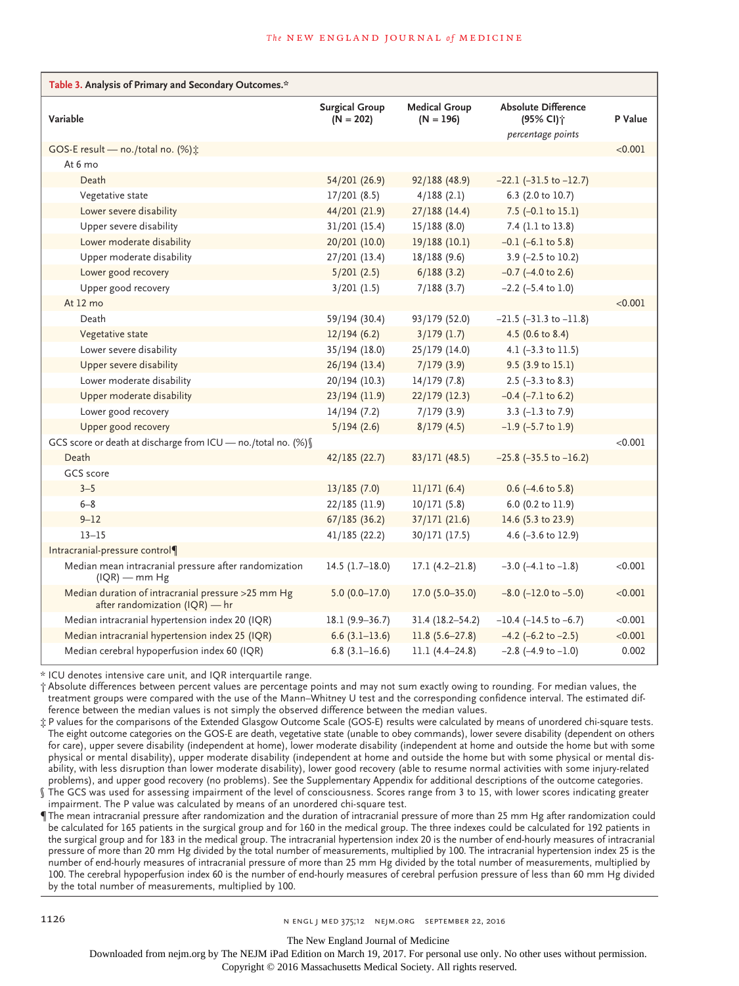| Table 3. Analysis of Primary and Secondary Outcomes.*                                |                                      |                                     |                                                     |         |  |  |
|--------------------------------------------------------------------------------------|--------------------------------------|-------------------------------------|-----------------------------------------------------|---------|--|--|
| Variable                                                                             | <b>Surgical Group</b><br>$(N = 202)$ | <b>Medical Group</b><br>$(N = 196)$ | <b>Absolute Difference</b><br>(95% CI) <sup>+</sup> | P Value |  |  |
|                                                                                      |                                      |                                     | percentage points                                   | < 0.001 |  |  |
| GOS-E result - no./total no. (%):<br>At 6 mo                                         |                                      |                                     |                                                     |         |  |  |
| Death                                                                                | 54/201 (26.9)                        | 92/188 (48.9)                       | $-22.1$ ( $-31.5$ to $-12.7$ )                      |         |  |  |
| Vegetative state                                                                     | 17/201(8.5)                          | 4/188(2.1)                          | 6.3 (2.0 to 10.7)                                   |         |  |  |
| Lower severe disability                                                              | 44/201 (21.9)                        | 27/188(14.4)                        | 7.5 $(-0.1 \text{ to } 15.1)$                       |         |  |  |
| Upper severe disability                                                              | 31/201 (15.4)                        | 15/188(8.0)                         | 7.4 (1.1 to 13.8)                                   |         |  |  |
| Lower moderate disability                                                            | 20/201 (10.0)                        | 19/188 (10.1)                       | $-0.1$ ( $-6.1$ to 5.8)                             |         |  |  |
| Upper moderate disability                                                            | 27/201(13.4)                         | 18/188(9.6)                         | $3.9$ (-2.5 to 10.2)                                |         |  |  |
| Lower good recovery                                                                  | 5/201(2.5)                           | 6/188(3.2)                          | $-0.7$ ( $-4.0$ to 2.6)                             |         |  |  |
| Upper good recovery                                                                  | 3/201(1.5)                           | 7/188(3.7)                          | $-2.2$ ( $-5.4$ to 1.0)                             |         |  |  |
| At 12 mo                                                                             |                                      |                                     |                                                     | < 0.001 |  |  |
| Death                                                                                | 59/194 (30.4)                        | 93/179 (52.0)                       | $-21.5$ ( $-31.3$ to $-11.8$ )                      |         |  |  |
| Vegetative state                                                                     | 12/194(6.2)                          | $3/179$ (1.7)                       | 4.5 (0.6 to 8.4)                                    |         |  |  |
| Lower severe disability                                                              | 35/194(18.0)                         | 25/179 (14.0)                       | 4.1 $(-3.3 \text{ to } 11.5)$                       |         |  |  |
| Upper severe disability                                                              | 26/194(13.4)                         | 7/179(3.9)                          | $9.5$ (3.9 to 15.1)                                 |         |  |  |
| Lower moderate disability                                                            | 20/194 (10.3)                        | 14/179(7.8)                         | $2.5$ (-3.3 to 8.3)                                 |         |  |  |
| Upper moderate disability                                                            | 23/194 (11.9)                        | 22/179 (12.3)                       | $-0.4$ ( $-7.1$ to 6.2)                             |         |  |  |
| Lower good recovery                                                                  | 14/194(7.2)                          | 7/179(3.9)                          | 3.3 $(-1.3 \text{ to } 7.9)$                        |         |  |  |
| Upper good recovery                                                                  | 5/194(2.6)                           | 8/179(4.5)                          | $-1.9$ ( $-5.7$ to 1.9)                             |         |  |  |
| GCS score or death at discharge from ICU - no./total no. (%) [                       |                                      |                                     |                                                     | < 0.001 |  |  |
| Death                                                                                | 42/185 (22.7)                        | 83/171(48.5)                        | $-25.8$ ( $-35.5$ to $-16.2$ )                      |         |  |  |
| <b>GCS</b> score                                                                     |                                      |                                     |                                                     |         |  |  |
| $3 - 5$                                                                              | 13/185(7.0)                          | 11/171(6.4)                         | $0.6$ (-4.6 to 5.8)                                 |         |  |  |
| $6 - 8$                                                                              | 22/185 (11.9)                        | 10/171(5.8)                         | 6.0 (0.2 to 11.9)                                   |         |  |  |
| $9 - 12$                                                                             | 67/185(36.2)                         | 37/171(21.6)                        | 14.6 (5.3 to 23.9)                                  |         |  |  |
| $13 - 15$                                                                            | 41/185(22.2)                         | 30/171(17.5)                        | 4.6 $(-3.6 \text{ to } 12.9)$                       |         |  |  |
| Intracranial-pressure control¶                                                       |                                      |                                     |                                                     |         |  |  |
| Median mean intracranial pressure after randomization<br>$(IQR)$ — mm Hg             | $14.5(1.7-18.0)$                     | $17.1(4.2 - 21.8)$                  | $-3.0$ ( $-4.1$ to $-1.8$ )                         | < 0.001 |  |  |
| Median duration of intracranial pressure >25 mm Hg<br>after randomization (IQR) - hr | $5.0(0.0-17.0)$                      | $17.0(5.0-35.0)$                    | $-8.0$ ( $-12.0$ to $-5.0$ )                        | < 0.001 |  |  |
| Median intracranial hypertension index 20 (IQR)                                      | $18.1(9.9-36.7)$                     | $31.4(18.2 - 54.2)$                 | $-10.4$ ( $-14.5$ to $-6.7$ )                       | < 0.001 |  |  |
| Median intracranial hypertension index 25 (IQR)                                      | $6.6(3.1-13.6)$                      | $11.8(5.6-27.8)$                    | $-4.2$ (-6.2 to $-2.5$ )                            | < 0.001 |  |  |
| Median cerebral hypoperfusion index 60 (IQR)                                         | $6.8(3.1-16.6)$                      | $11.1(4.4-24.8)$                    | $-2.8$ ( $-4.9$ to $-1.0$ )                         | 0.002   |  |  |

\* ICU denotes intensive care unit, and IQR interquartile range.

† Absolute differences between percent values are percentage points and may not sum exactly owing to rounding. For median values, the treatment groups were compared with the use of the Mann–Whitney U test and the corresponding confidence interval. The estimated difference between the median values is not simply the observed difference between the median values.

‡ P values for the comparisons of the Extended Glasgow Outcome Scale (GOS-E) results were calculated by means of unordered chi-square tests. The eight outcome categories on the GOS-E are death, vegetative state (unable to obey commands), lower severe disability (dependent on others for care), upper severe disability (independent at home), lower moderate disability (independent at home and outside the home but with some physical or mental disability), upper moderate disability (independent at home and outside the home but with some physical or mental disability, with less disruption than lower moderate disability), lower good recovery (able to resume normal activities with some injury-related problems), and upper good recovery (no problems). See the Supplementary Appendix for additional descriptions of the outcome categories.

The GCS was used for assessing impairment of the level of consciousness. Scores range from 3 to 15, with lower scores indicating greater impairment. The P value was calculated by means of an unordered chi-square test.

¶ The mean intracranial pressure after randomization and the duration of intracranial pressure of more than 25 mm Hg after randomization could be calculated for 165 patients in the surgical group and for 160 in the medical group. The three indexes could be calculated for 192 patients in the surgical group and for 183 in the medical group. The intracranial hypertension index 20 is the number of end-hourly measures of intracranial pressure of more than 20 mm Hg divided by the total number of measurements, multiplied by 100. The intracranial hypertension index 25 is the number of end-hourly measures of intracranial pressure of more than 25 mm Hg divided by the total number of measurements, multiplied by 100. The cerebral hypoperfusion index 60 is the number of end-hourly measures of cerebral perfusion pressure of less than 60 mm Hg divided by the total number of measurements, multiplied by 100.

The New England Journal of Medicine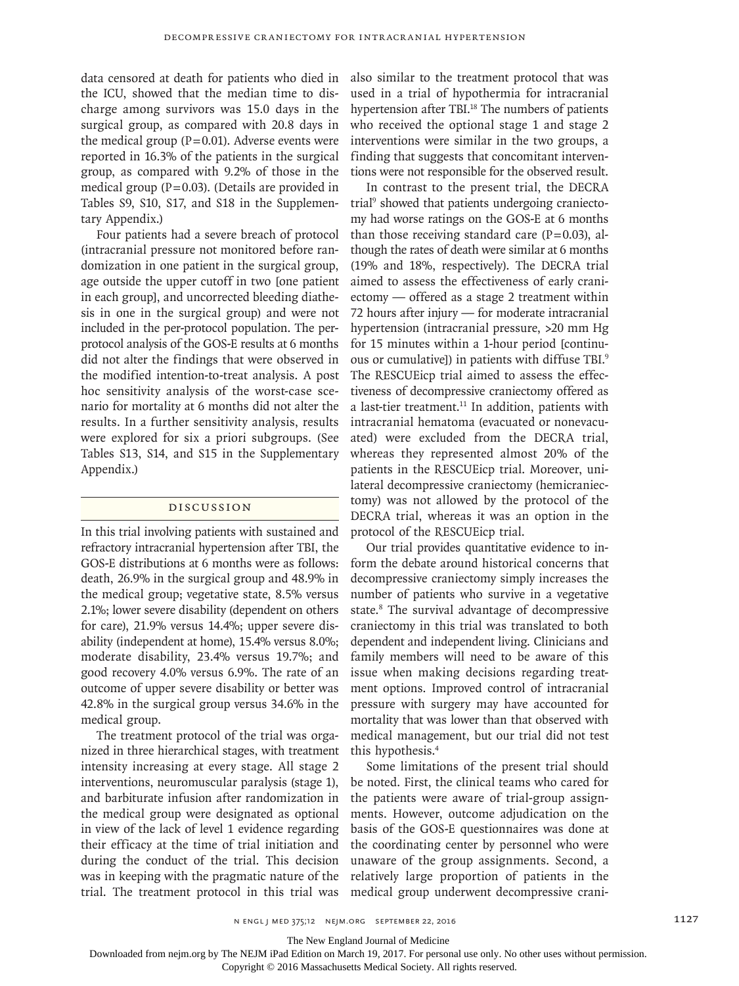data censored at death for patients who died in the ICU, showed that the median time to discharge among survivors was 15.0 days in the surgical group, as compared with 20.8 days in the medical group  $(P=0.01)$ . Adverse events were reported in 16.3% of the patients in the surgical group, as compared with 9.2% of those in the medical group ( $P=0.03$ ). (Details are provided in Tables S9, S10, S17, and S18 in the Supplementary Appendix.)

Four patients had a severe breach of protocol (intracranial pressure not monitored before randomization in one patient in the surgical group, age outside the upper cutoff in two [one patient in each group], and uncorrected bleeding diathesis in one in the surgical group) and were not included in the per-protocol population. The perprotocol analysis of the GOS-E results at 6 months did not alter the findings that were observed in the modified intention-to-treat analysis. A post hoc sensitivity analysis of the worst-case scenario for mortality at 6 months did not alter the results. In a further sensitivity analysis, results were explored for six a priori subgroups. (See Tables S13, S14, and S15 in the Supplementary Appendix.)

#### Discussion

In this trial involving patients with sustained and refractory intracranial hypertension after TBI, the GOS-E distributions at 6 months were as follows: death, 26.9% in the surgical group and 48.9% in the medical group; vegetative state, 8.5% versus 2.1%; lower severe disability (dependent on others for care), 21.9% versus 14.4%; upper severe disability (independent at home), 15.4% versus 8.0%; moderate disability, 23.4% versus 19.7%; and good recovery 4.0% versus 6.9%. The rate of an outcome of upper severe disability or better was 42.8% in the surgical group versus 34.6% in the medical group.

The treatment protocol of the trial was organized in three hierarchical stages, with treatment intensity increasing at every stage. All stage 2 interventions, neuromuscular paralysis (stage 1), and barbiturate infusion after randomization in the medical group were designated as optional in view of the lack of level 1 evidence regarding their efficacy at the time of trial initiation and during the conduct of the trial. This decision was in keeping with the pragmatic nature of the trial. The treatment protocol in this trial was also similar to the treatment protocol that was used in a trial of hypothermia for intracranial hypertension after TBI.<sup>18</sup> The numbers of patients who received the optional stage 1 and stage 2 interventions were similar in the two groups, a finding that suggests that concomitant interventions were not responsible for the observed result.

In contrast to the present trial, the DECRA trial<sup>9</sup> showed that patients undergoing craniectomy had worse ratings on the GOS-E at 6 months than those receiving standard care  $(P=0.03)$ , although the rates of death were similar at 6 months (19% and 18%, respectively). The DECRA trial aimed to assess the effectiveness of early craniectomy — offered as a stage 2 treatment within 72 hours after injury — for moderate intracranial hypertension (intracranial pressure, >20 mm Hg for 15 minutes within a 1-hour period [continuous or cumulative]) in patients with diffuse TBI.9 The RESCUEicp trial aimed to assess the effectiveness of decompressive craniectomy offered as a last-tier treatment.<sup>11</sup> In addition, patients with intracranial hematoma (evacuated or nonevacuated) were excluded from the DECRA trial, whereas they represented almost 20% of the patients in the RESCUEicp trial. Moreover, unilateral decompressive craniectomy (hemicraniectomy) was not allowed by the protocol of the DECRA trial, whereas it was an option in the protocol of the RESCUEicp trial.

Our trial provides quantitative evidence to inform the debate around historical concerns that decompressive craniectomy simply increases the number of patients who survive in a vegetative state.<sup>8</sup> The survival advantage of decompressive craniectomy in this trial was translated to both dependent and independent living. Clinicians and family members will need to be aware of this issue when making decisions regarding treatment options. Improved control of intracranial pressure with surgery may have accounted for mortality that was lower than that observed with medical management, but our trial did not test this hypothesis.4

Some limitations of the present trial should be noted. First, the clinical teams who cared for the patients were aware of trial-group assignments. However, outcome adjudication on the basis of the GOS-E questionnaires was done at the coordinating center by personnel who were unaware of the group assignments. Second, a relatively large proportion of patients in the medical group underwent decompressive crani-

The New England Journal of Medicine

Downloaded from nejm.org by The NEJM iPad Edition on March 19, 2017. For personal use only. No other uses without permission.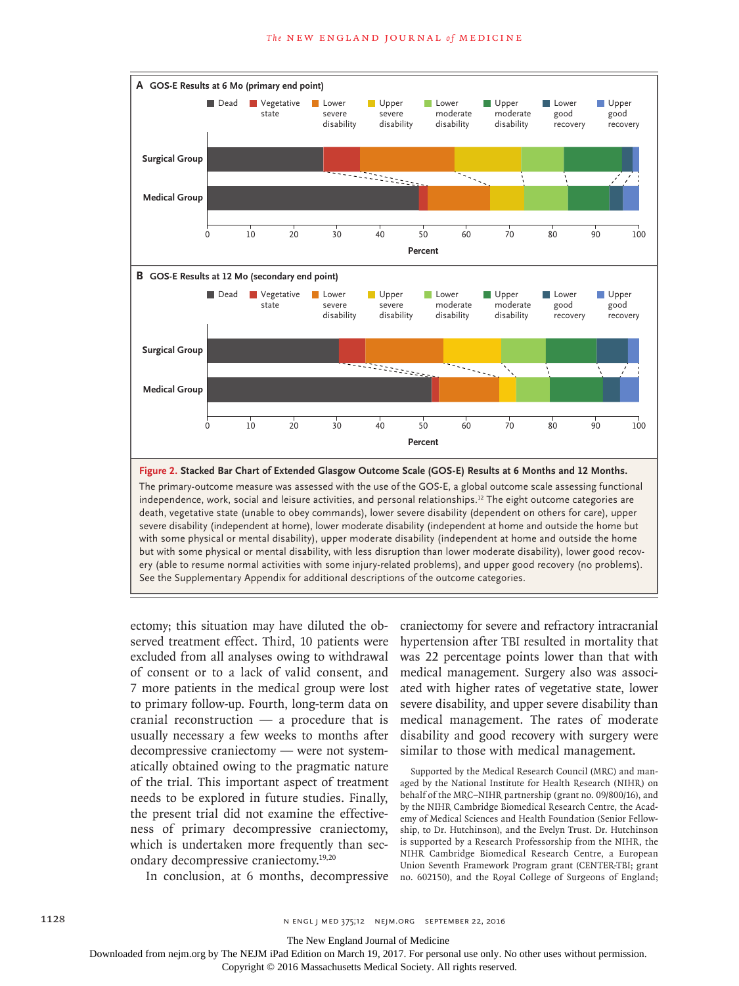

severe disability (independent at home), lower moderate disability (independent at home and outside the home but with some physical or mental disability), upper moderate disability (independent at home and outside the home but with some physical or mental disability, with less disruption than lower moderate disability), lower good recovery (able to resume normal activities with some injury-related problems), and upper good recovery (no problems). See the Supplementary Appendix for additional descriptions of the outcome categories.

ectomy; this situation may have diluted the observed treatment effect. Third, 10 patients were excluded from all analyses owing to withdrawal of consent or to a lack of valid consent, and 7 more patients in the medical group were lost to primary follow-up. Fourth, long-term data on cranial reconstruction — a procedure that is usually necessary a few weeks to months after decompressive craniectomy — were not systematically obtained owing to the pragmatic nature of the trial. This important aspect of treatment needs to be explored in future studies. Finally, the present trial did not examine the effectiveness of primary decompressive craniectomy, which is undertaken more frequently than secondary decompressive craniectomy.19,20

In conclusion, at 6 months, decompressive

craniectomy for severe and refractory intracranial hypertension after TBI resulted in mortality that was 22 percentage points lower than that with medical management. Surgery also was associated with higher rates of vegetative state, lower severe disability, and upper severe disability than medical management. The rates of moderate disability and good recovery with surgery were similar to those with medical management.

Supported by the Medical Research Council (MRC) and managed by the National Institute for Health Research (NIHR) on behalf of the MRC–NIHR partnership (grant no. 09/800/16), and by the NIHR Cambridge Biomedical Research Centre, the Academy of Medical Sciences and Health Foundation (Senior Fellowship, to Dr. Hutchinson), and the Evelyn Trust. Dr. Hutchinson is supported by a Research Professorship from the NIHR, the NIHR Cambridge Biomedical Research Centre, a European Union Seventh Framework Program grant (CENTER-TBI; grant no. 602150), and the Royal College of Surgeons of England;

The New England Journal of Medicine

Downloaded from nejm.org by The NEJM iPad Edition on March 19, 2017. For personal use only. No other uses without permission.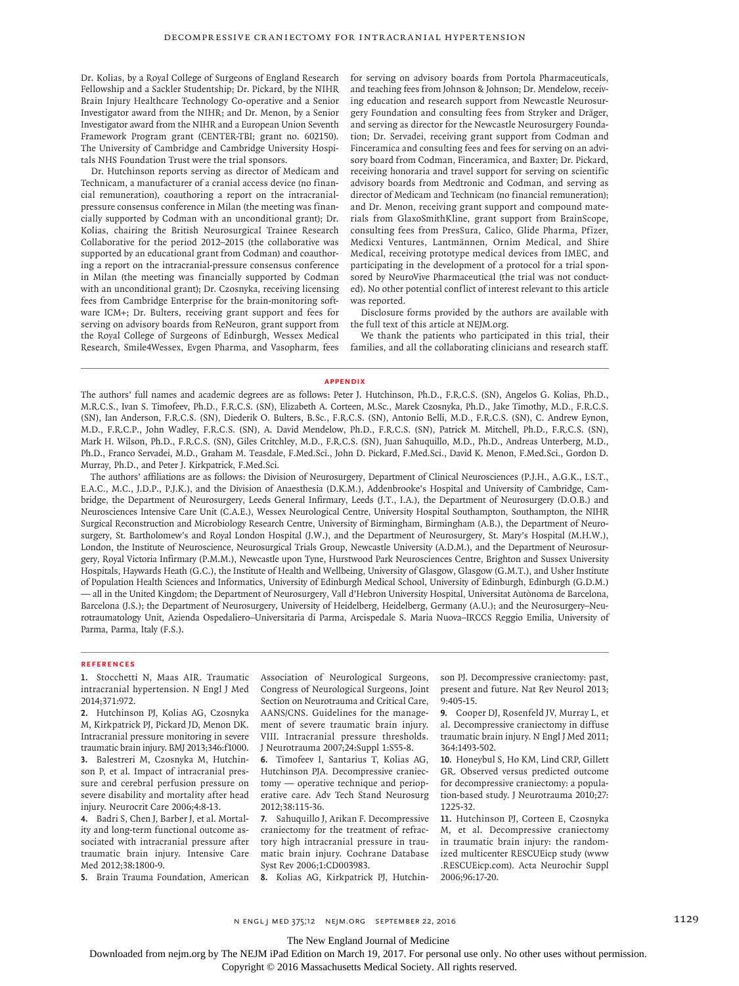Dr. Kolias, by a Royal College of Surgeons of England Research Fellowship and a Sackler Studentship; Dr. Pickard, by the NIHR Brain Injury Healthcare Technology Co-operative and a Senior Investigator award from the NIHR; and Dr. Menon, by a Senior Investigator award from the NIHR and a European Union Seventh Framework Program grant (CENTER-TBI; grant no. 602150). The University of Cambridge and Cambridge University Hospitals NHS Foundation Trust were the trial sponsors.

Dr. Hutchinson reports serving as director of Medicam and Technicam, a manufacturer of a cranial access device (no financial remuneration), coauthoring a report on the intracranialpressure consensus conference in Milan (the meeting was financially supported by Codman with an unconditional grant); Dr. Kolias, chairing the British Neurosurgical Trainee Research Collaborative for the period 2012–2015 (the collaborative was supported by an educational grant from Codman) and coauthoring a report on the intracranial-pressure consensus conference in Milan (the meeting was financially supported by Codman with an unconditional grant); Dr. Czosnyka, receiving licensing fees from Cambridge Enterprise for the brain-monitoring software ICM+; Dr. Bulters, receiving grant support and fees for serving on advisory boards from ReNeuron, grant support from the Royal College of Surgeons of Edinburgh, Wessex Medical Research, Smile4Wessex, Evgen Pharma, and Vasopharm, fees for serving on advisory boards from Portola Pharmaceuticals, and teaching fees from Johnson & Johnson; Dr. Mendelow, receiving education and research support from Newcastle Neurosurgery Foundation and consulting fees from Stryker and Dräger, and serving as director for the Newcastle Neurosurgery Foundation; Dr. Servadei, receiving grant support from Codman and Finceramica and consulting fees and fees for serving on an advisory board from Codman, Finceramica, and Baxter; Dr. Pickard, receiving honoraria and travel support for serving on scientific advisory boards from Medtronic and Codman, and serving as director of Medicam and Technicam (no financial remuneration); and Dr. Menon, receiving grant support and compound materials from GlaxoSmithKline, grant support from BrainScope, consulting fees from PresSura, Calico, Glide Pharma, Pfizer, Medicxi Ventures, Lantmännen, Ornim Medical, and Shire Medical, receiving prototype medical devices from IMEC, and participating in the development of a protocol for a trial sponsored by NeuroVive Pharmaceutical (the trial was not conducted). No other potential conflict of interest relevant to this article was reported.

Disclosure forms provided by the authors are available with the full text of this article at NEJM.org.

We thank the patients who participated in this trial, their families, and all the collaborating clinicians and research staff.

#### **Appendix**

The authors' full names and academic degrees are as follows: Peter J. Hutchinson, Ph.D., F.R.C.S. (SN), Angelos G. Kolias, Ph.D., M.R.C.S., Ivan S. Timofeev, Ph.D., F.R.C.S. (SN), Elizabeth A. Corteen, M.Sc., Marek Czosnyka, Ph.D., Jake Timothy, M.D., F.R.C.S. (SN), Ian Anderson, F.R.C.S. (SN), Diederik O. Bulters, B.Sc., F.R.C.S. (SN), Antonio Belli, M.D., F.R.C.S. (SN), C. Andrew Eynon, M.D., F.R.C.P., John Wadley, F.R.C.S. (SN), A. David Mendelow, Ph.D., F.R.C.S. (SN), Patrick M. Mitchell, Ph.D., F.R.C.S. (SN), Mark H. Wilson, Ph.D., F.R.C.S. (SN), Giles Critchley, M.D., F.R.C.S. (SN), Juan Sahuquillo, M.D., Ph.D., Andreas Unterberg, M.D., Ph.D., Franco Servadei, M.D., Graham M. Teasdale, F.Med.Sci., John D. Pickard, F.Med.Sci., David K. Menon, F.Med.Sci., Gordon D. Murray, Ph.D., and Peter J. Kirkpatrick, F.Med.Sci.

The authors' affiliations are as follows: the Division of Neurosurgery, Department of Clinical Neurosciences (P.J.H., A.G.K., I.S.T., E.A.C., M.C., J.D.P., P.J.K.), and the Division of Anaesthesia (D.K.M.), Addenbrooke's Hospital and University of Cambridge, Cambridge, the Department of Neurosurgery, Leeds General Infirmary, Leeds (J.T., I.A.), the Department of Neurosurgery (D.O.B.) and Neurosciences Intensive Care Unit (C.A.E.), Wessex Neurological Centre, University Hospital Southampton, Southampton, the NIHR Surgical Reconstruction and Microbiology Research Centre, University of Birmingham, Birmingham (A.B.), the Department of Neurosurgery, St. Bartholomew's and Royal London Hospital (J.W.), and the Department of Neurosurgery, St. Mary's Hospital (M.H.W.), London, the Institute of Neuroscience, Neurosurgical Trials Group, Newcastle University (A.D.M.), and the Department of Neurosurgery, Royal Victoria Infirmary (P.M.M.), Newcastle upon Tyne, Hurstwood Park Neurosciences Centre, Brighton and Sussex University Hospitals, Haywards Heath (G.C.), the Institute of Health and Wellbeing, University of Glasgow, Glasgow (G.M.T.), and Usher Institute of Population Health Sciences and Informatics, University of Edinburgh Medical School, University of Edinburgh, Edinburgh (G.D.M.) — all in the United Kingdom; the Department of Neurosurgery, Vall d'Hebron University Hospital, Universitat Autònoma de Barcelona, Barcelona (J.S.); the Department of Neurosurgery, University of Heidelberg, Heidelberg, Germany (A.U.); and the Neurosurgery–Neurotraumatology Unit, Azienda Ospedaliero–Universitaria di Parma, Arcispedale S. Maria Nuova–IRCCS Reggio Emilia, University of Parma, Parma, Italy (F.S.).

#### **References**

**1.** Stocchetti N, Maas AIR. Traumatic intracranial hypertension. N Engl J Med 2014;371:972.

**2.** Hutchinson PJ, Kolias AG, Czosnyka M, Kirkpatrick PJ, Pickard JD, Menon DK. Intracranial pressure monitoring in severe traumatic brain injury. BMJ 2013;346:f1000. **3.** Balestreri M, Czosnyka M, Hutchinson P, et al. Impact of intracranial pressure and cerebral perfusion pressure on severe disability and mortality after head injury. Neurocrit Care 2006;4:8-13.

**4.** Badri S, Chen J, Barber J, et al. Mortality and long-term functional outcome associated with intracranial pressure after traumatic brain injury. Intensive Care Med 2012;38:1800-9.

**5.** Brain Trauma Foundation, American

Association of Neurological Surgeons, Congress of Neurological Surgeons, Joint Section on Neurotrauma and Critical Care, AANS/CNS. Guidelines for the management of severe traumatic brain injury. VIII. Intracranial pressure thresholds. J Neurotrauma 2007;24:Suppl 1:S55-8.

**6.** Timofeev I, Santarius T, Kolias AG, Hutchinson PJA. Decompressive craniectomy — operative technique and perioperative care. Adv Tech Stand Neurosurg 2012;38:115-36.

**7.** Sahuquillo J, Arikan F. Decompressive craniectomy for the treatment of refractory high intracranial pressure in traumatic brain injury. Cochrane Database Syst Rev 2006;1:CD003983.

**8.** Kolias AG, Kirkpatrick PJ, Hutchin-

son PJ. Decompressive craniectomy: past, present and future. Nat Rev Neurol 2013; 9:405-15.

**9.** Cooper DJ, Rosenfeld JV, Murray L, et al. Decompressive craniectomy in diffuse traumatic brain injury. N Engl J Med 2011; 364:1493-502.

**10.** Honeybul S, Ho KM, Lind CRP, Gillett GR. Observed versus predicted outcome for decompressive craniectomy: a population-based study. J Neurotrauma 2010;27: 1225-32.

**11.** Hutchinson PJ, Corteen E, Czosnyka M, et al. Decompressive craniectomy in traumatic brain injury: the randomized multicenter RESCUEicp study (www .RESCUEicp.com). Acta Neurochir Suppl 2006;96:17-20.

The New England Journal of Medicine

Downloaded from nejm.org by The NEJM iPad Edition on March 19, 2017. For personal use only. No other uses without permission.